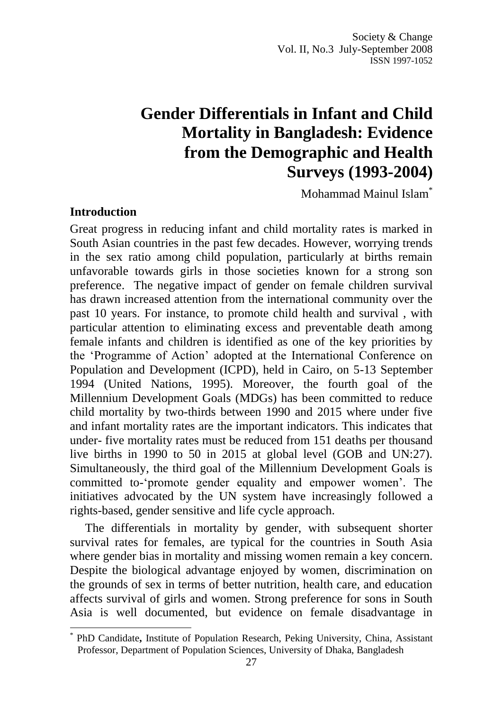# **Gender Differentials in Infant and Child Mortality in Bangladesh: Evidence from the Demographic and Health Surveys (1993-2004)**

Mohammad Mainul Islam\*

#### **Introduction**

 $\overline{a}$ 

Great progress in reducing infant and child mortality rates is marked in South Asian countries in the past few decades. However, worrying trends in the sex ratio among child population, particularly at births remain unfavorable towards girls in those societies known for a strong son preference. The negative impact of gender on female children survival has drawn increased attention from the international community over the past 10 years. For instance, to promote child health and survival , with particular attention to eliminating excess and preventable death among female infants and children is identified as one of the key priorities by the 'Programme of Action' adopted at the International Conference on Population and Development (ICPD), held in Cairo, on 5-13 September 1994 (United Nations, 1995). Moreover, the fourth goal of the Millennium Development Goals (MDGs) has been committed to reduce child mortality by two-thirds between 1990 and 2015 where under five and infant mortality rates are the important indicators. This indicates that under- five mortality rates must be reduced from 151 deaths per thousand live births in 1990 to 50 in 2015 at global level (GOB and UN:27). Simultaneously, the third goal of the Millennium Development Goals is committed to-'promote gender equality and empower women'. The initiatives advocated by the UN system have increasingly followed a rights-based, gender sensitive and life cycle approach.

The differentials in mortality by gender, with subsequent shorter survival rates for females, are typical for the countries in South Asia where gender bias in mortality and missing women remain a key concern. Despite the biological advantage enjoyed by women, discrimination on the grounds of sex in terms of better nutrition, health care, and education affects survival of girls and women. Strong preference for sons in South Asia is well documented, but evidence on female disadvantage in

<sup>\*</sup> PhD Candidate**,** Institute of Population Research, Peking University, China, Assistant Professor, Department of Population Sciences, University of Dhaka, Bangladesh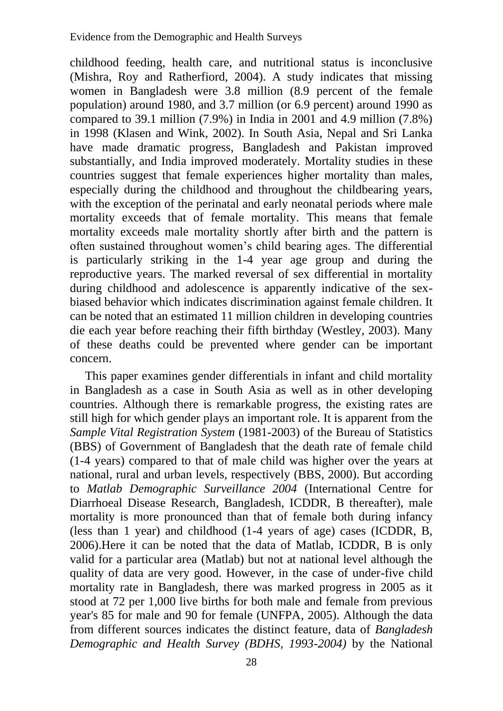childhood feeding, health care, and nutritional status is inconclusive (Mishra, Roy and Ratherfiord, 2004). A study indicates that missing women in Bangladesh were 3.8 million (8.9 percent of the female population) around 1980, and 3.7 million (or 6.9 percent) around 1990 as compared to 39.1 million  $(7.9\%)$  in India in 2001 and 4.9 million  $(7.8\%)$ in 1998 (Klasen and Wink, 2002). In South Asia, Nepal and Sri Lanka have made dramatic progress, Bangladesh and Pakistan improved substantially, and India improved moderately. Mortality studies in these countries suggest that female experiences higher mortality than males, especially during the childhood and throughout the childbearing years, with the exception of the perinatal and early neonatal periods where male mortality exceeds that of female mortality. This means that female mortality exceeds male mortality shortly after birth and the pattern is often sustained throughout women's child bearing ages. The differential is particularly striking in the 1-4 year age group and during the reproductive years. The marked reversal of sex differential in mortality during childhood and adolescence is apparently indicative of the sexbiased behavior which indicates discrimination against female children. It can be noted that an estimated 11 million children in developing countries die each year before reaching their fifth birthday (Westley, 2003). Many of these deaths could be prevented where gender can be important concern.

This paper examines gender differentials in infant and child mortality in Bangladesh as a case in South Asia as well as in other developing countries. Although there is remarkable progress, the existing rates are still high for which gender plays an important role. It is apparent from the *Sample Vital Registration System* (1981-2003) of the Bureau of Statistics (BBS) of Government of Bangladesh that the death rate of female child (1-4 years) compared to that of male child was higher over the years at national, rural and urban levels, respectively (BBS, 2000). But according to *Matlab Demographic Surveillance 2004* (International Centre for Diarrhoeal Disease Research, Bangladesh, ICDDR, B thereafter), male mortality is more pronounced than that of female both during infancy (less than 1 year) and childhood (1-4 years of age) cases (ICDDR, B, 2006).Here it can be noted that the data of Matlab, ICDDR, B is only valid for a particular area (Matlab) but not at national level although the quality of data are very good. However, in the case of under-five child mortality rate in Bangladesh, there was marked progress in 2005 as it stood at 72 per 1,000 live births for both male and female from previous year's 85 for male and 90 for female (UNFPA, 2005). Although the data from different sources indicates the distinct feature, data of *Bangladesh Demographic and Health Survey (BDHS, 1993-2004)* by the National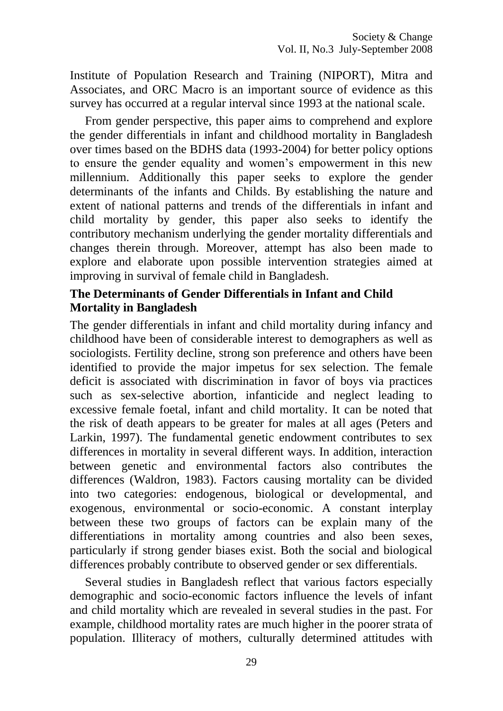Institute of Population Research and Training (NIPORT), Mitra and Associates, and ORC Macro is an important source of evidence as this survey has occurred at a regular interval since 1993 at the national scale.

From gender perspective, this paper aims to comprehend and explore the gender differentials in infant and childhood mortality in Bangladesh over times based on the BDHS data (1993-2004) for better policy options to ensure the gender equality and women's empowerment in this new millennium. Additionally this paper seeks to explore the gender determinants of the infants and Childs. By establishing the nature and extent of national patterns and trends of the differentials in infant and child mortality by gender, this paper also seeks to identify the contributory mechanism underlying the gender mortality differentials and changes therein through. Moreover, attempt has also been made to explore and elaborate upon possible intervention strategies aimed at improving in survival of female child in Bangladesh.

## **The Determinants of Gender Differentials in Infant and Child Mortality in Bangladesh**

The gender differentials in infant and child mortality during infancy and childhood have been of considerable interest to demographers as well as sociologists. Fertility decline, strong son preference and others have been identified to provide the major impetus for sex selection. The female deficit is associated with discrimination in favor of boys via practices such as sex-selective abortion, infanticide and neglect leading to excessive female foetal, infant and child mortality. It can be noted that the risk of death appears to be greater for males at all ages (Peters and Larkin, 1997). The fundamental genetic endowment contributes to sex differences in mortality in several different ways. In addition, interaction between genetic and environmental factors also contributes the differences (Waldron, 1983). Factors causing mortality can be divided into two categories: endogenous, biological or developmental, and exogenous, environmental or socio-economic. A constant interplay between these two groups of factors can be explain many of the differentiations in mortality among countries and also been sexes, particularly if strong gender biases exist. Both the social and biological differences probably contribute to observed gender or sex differentials.

Several studies in Bangladesh reflect that various factors especially demographic and socio-economic factors influence the levels of infant and child mortality which are revealed in several studies in the past. For example, childhood mortality rates are much higher in the poorer strata of population. Illiteracy of mothers, culturally determined attitudes with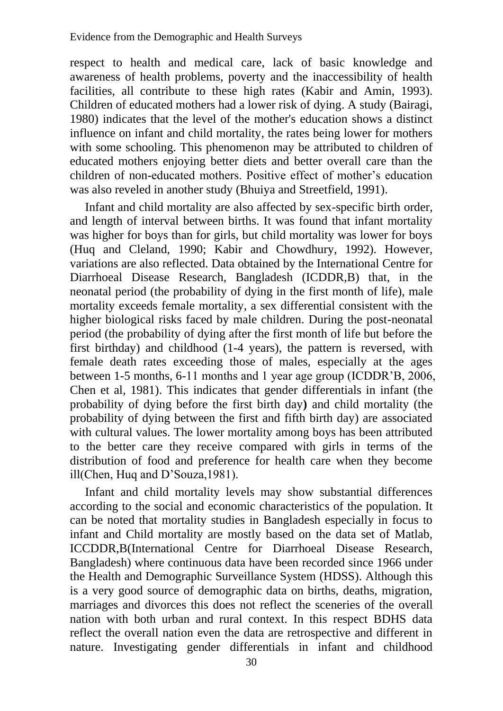respect to health and medical care, lack of basic knowledge and awareness of health problems, poverty and the inaccessibility of health facilities, all contribute to these high rates (Kabir and Amin, 1993). Children of educated mothers had a lower risk of dying. A study (Bairagi, 1980) indicates that the level of the mother's education shows a distinct influence on infant and child mortality, the rates being lower for mothers with some schooling. This phenomenon may be attributed to children of educated mothers enjoying better diets and better overall care than the children of non-educated mothers. Positive effect of mother's education was also reveled in another study (Bhuiya and Streetfield, 1991).

Infant and child mortality are also affected by sex-specific birth order, and length of interval between births. It was found that infant mortality was higher for boys than for girls, but child mortality was lower for boys (Huq and Cleland, 1990; Kabir and Chowdhury, 1992). However, variations are also reflected. Data obtained by the International Centre for Diarrhoeal Disease Research, Bangladesh (ICDDR,B) that, in the neonatal period (the probability of dying in the first month of life), male mortality exceeds female mortality, a sex differential consistent with the higher biological risks faced by male children. During the post-neonatal period (the probability of dying after the first month of life but before the first birthday) and childhood (1-4 years), the pattern is reversed, with female death rates exceeding those of males, especially at the ages between 1-5 months, 6-11 months and 1 year age group (ICDDR'B, 2006, Chen et al, 1981). This indicates that gender differentials in infant (the probability of dying before the first birth day**)** and child mortality (the probability of dying between the first and fifth birth day) are associated with cultural values. The lower mortality among boys has been attributed to the better care they receive compared with girls in terms of the distribution of food and preference for health care when they become ill(Chen, Huq and D'Souza,1981).

Infant and child mortality levels may show substantial differences according to the social and economic characteristics of the population. It can be noted that mortality studies in Bangladesh especially in focus to infant and Child mortality are mostly based on the data set of Matlab, ICCDDR,B(International Centre for Diarrhoeal Disease Research, Bangladesh) where continuous data have been recorded since 1966 under the Health and Demographic Surveillance System (HDSS). Although this is a very good source of demographic data on births, deaths, migration, marriages and divorces this does not reflect the sceneries of the overall nation with both urban and rural context. In this respect BDHS data reflect the overall nation even the data are retrospective and different in nature. Investigating gender differentials in infant and childhood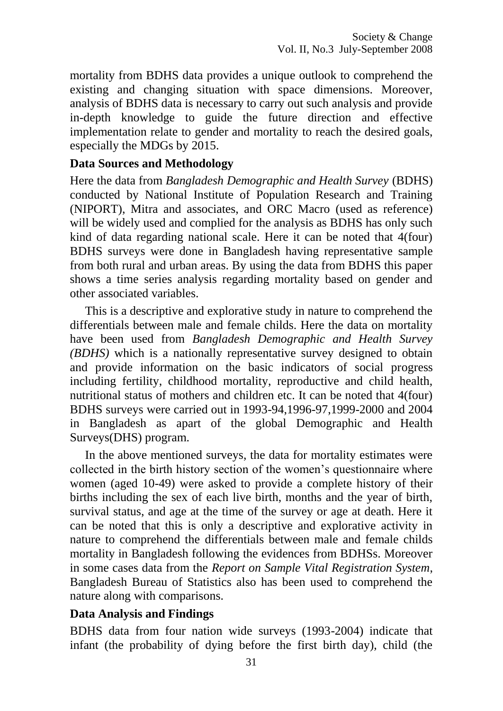mortality from BDHS data provides a unique outlook to comprehend the existing and changing situation with space dimensions. Moreover, analysis of BDHS data is necessary to carry out such analysis and provide in-depth knowledge to guide the future direction and effective implementation relate to gender and mortality to reach the desired goals, especially the MDGs by 2015.

#### **Data Sources and Methodology**

Here the data from *Bangladesh Demographic and Health Survey* (BDHS) conducted by National Institute of Population Research and Training (NIPORT), Mitra and associates, and ORC Macro (used as reference) will be widely used and complied for the analysis as BDHS has only such kind of data regarding national scale. Here it can be noted that 4(four) BDHS surveys were done in Bangladesh having representative sample from both rural and urban areas. By using the data from BDHS this paper shows a time series analysis regarding mortality based on gender and other associated variables.

This is a descriptive and explorative study in nature to comprehend the differentials between male and female childs. Here the data on mortality have been used from *Bangladesh Demographic and Health Survey (BDHS)* which is a nationally representative survey designed to obtain and provide information on the basic indicators of social progress including fertility, childhood mortality, reproductive and child health, nutritional status of mothers and children etc. It can be noted that 4(four) BDHS surveys were carried out in 1993-94,1996-97,1999-2000 and 2004 in Bangladesh as apart of the global Demographic and Health Surveys(DHS) program.

In the above mentioned surveys, the data for mortality estimates were collected in the birth history section of the women's questionnaire where women (aged 10-49) were asked to provide a complete history of their births including the sex of each live birth, months and the year of birth, survival status, and age at the time of the survey or age at death. Here it can be noted that this is only a descriptive and explorative activity in nature to comprehend the differentials between male and female childs mortality in Bangladesh following the evidences from BDHSs. Moreover in some cases data from the *Report on Sample Vital Registration System*, Bangladesh Bureau of Statistics also has been used to comprehend the nature along with comparisons.

#### **Data Analysis and Findings**

BDHS data from four nation wide surveys (1993-2004) indicate that infant (the probability of dying before the first birth day), child (the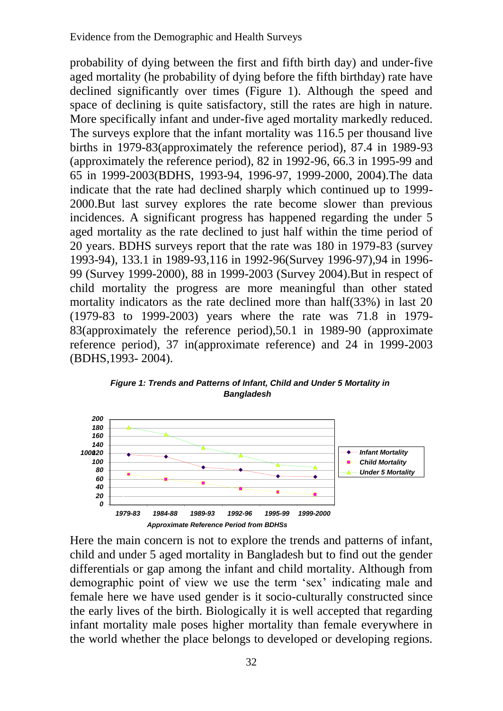probability of dying between the first and fifth birth day) and under-five aged mortality (he probability of dying before the fifth birthday) rate have declined significantly over times (Figure 1). Although the speed and space of declining is quite satisfactory, still the rates are high in nature. More specifically infant and under-five aged mortality markedly reduced. The surveys explore that the infant mortality was 116.5 per thousand live births in 1979-83(approximately the reference period), 87.4 in 1989-93 (approximately the reference period), 82 in 1992-96, 66.3 in 1995-99 and 65 in 1999-2003(BDHS, 1993-94, 1996-97, 1999-2000, 2004).The data indicate that the rate had declined sharply which continued up to 1999- 2000.But last survey explores the rate become slower than previous incidences. A significant progress has happened regarding the under 5 aged mortality as the rate declined to just half within the time period of 20 years. BDHS surveys report that the rate was 180 in 1979-83 (survey 1993-94), 133.1 in 1989-93,116 in 1992-96(Survey 1996-97),94 in 1996- 99 (Survey 1999-2000), 88 in 1999-2003 (Survey 2004).But in respect of child mortality the progress are more meaningful than other stated mortality indicators as the rate declined more than half(33%) in last 20 (1979-83 to 1999-2003) years where the rate was 71.8 in 1979- 83(approximately the reference period),50.1 in 1989-90 (approximate reference period), 37 in(approximate reference) and 24 in 1999-2003 (BDHS,1993- 2004).



*Figure 1: Trends and Patterns of Infant, Child and Under 5 Mortality in Bangladesh*

Here the main concern is not to explore the trends and patterns of infant, child and under 5 aged mortality in Bangladesh but to find out the gender differentials or gap among the infant and child mortality. Although from demographic point of view we use the term 'sex' indicating male and female here we have used gender is it socio-culturally constructed since the early lives of the birth. Biologically it is well accepted that regarding infant mortality male poses higher mortality than female everywhere in the world whether the place belongs to developed or developing regions.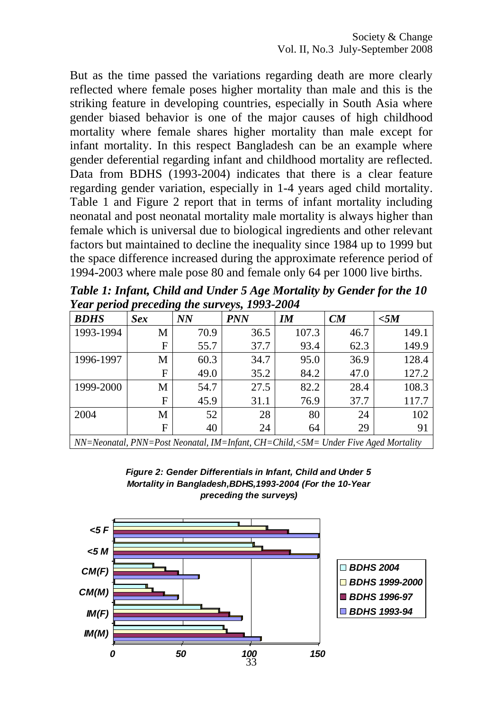But as the time passed the variations regarding death are more clearly reflected where female poses higher mortality than male and this is the striking feature in developing countries, especially in South Asia where gender biased behavior is one of the major causes of high childhood mortality where female shares higher mortality than male except for infant mortality. In this respect Bangladesh can be an example where gender deferential regarding infant and childhood mortality are reflected. Data from BDHS (1993-2004) indicates that there is a clear feature regarding gender variation, especially in 1-4 years aged child mortality. Table 1 and Figure 2 report that in terms of infant mortality including neonatal and post neonatal mortality male mortality is always higher than female which is universal due to biological ingredients and other relevant factors but maintained to decline the inequality since 1984 up to 1999 but the space difference increased during the approximate reference period of 1994-2003 where male pose 80 and female only 64 per 1000 live births.

*Table 1: Infant, Child and Under 5 Age Mortality by Gender for the 10 Year period preceding the surveys, 1993-2004*

| <b>BDHS</b>                                                                                         | Sex | o<br><b>NN</b> | ັ້<br><b>PNN</b> | $I\!M$ | CM   | $<$ 5 $M$ |
|-----------------------------------------------------------------------------------------------------|-----|----------------|------------------|--------|------|-----------|
| 1993-1994                                                                                           | M   | 70.9           | 36.5             | 107.3  | 46.7 | 149.1     |
|                                                                                                     | F   | 55.7           | 37.7             | 93.4   | 62.3 | 149.9     |
| 1996-1997                                                                                           | M   | 60.3           | 34.7             | 95.0   | 36.9 | 128.4     |
|                                                                                                     | F   | 49.0           | 35.2             | 84.2   | 47.0 | 127.2     |
| 1999-2000                                                                                           | M   | 54.7           | 27.5             | 82.2   | 28.4 | 108.3     |
|                                                                                                     | F   | 45.9           | 31.1             | 76.9   | 37.7 | 117.7     |
| 2004                                                                                                | M   | 52             | 28               | 80     | 24   | 102       |
|                                                                                                     | F   | 40             | 24               | 64     | 29   | 91        |
| $NN=Neonatal$ , $PNN=Post$ Neonatal, $IM=Infant$ , $CH=Child$ , $\leq SM=Under$ Five Aged Mortality |     |                |                  |        |      |           |

*Figure 2: Gender Differentials in Infant, Child and Under 5 Mortality in Bangladesh,BDHS,1993-2004 (For the 10-Year preceding the surveys)*

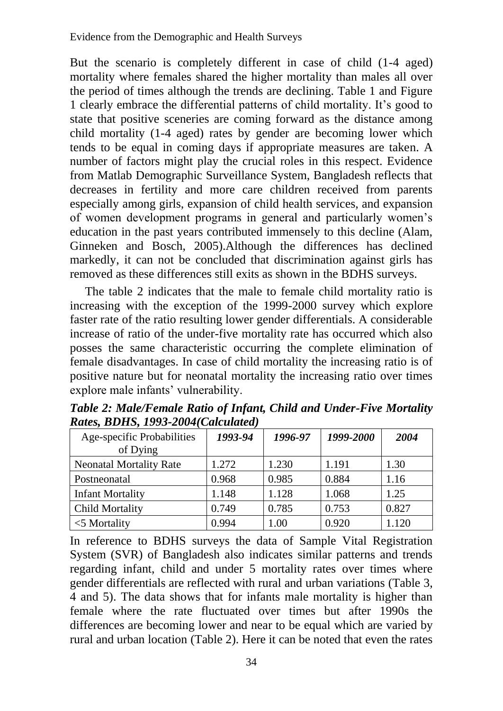But the scenario is completely different in case of child (1-4 aged) mortality where females shared the higher mortality than males all over the period of times although the trends are declining. Table 1 and Figure 1 clearly embrace the differential patterns of child mortality. It's good to state that positive sceneries are coming forward as the distance among child mortality (1-4 aged) rates by gender are becoming lower which tends to be equal in coming days if appropriate measures are taken. A number of factors might play the crucial roles in this respect. Evidence from Matlab Demographic Surveillance System, Bangladesh reflects that decreases in fertility and more care children received from parents especially among girls, expansion of child health services, and expansion of women development programs in general and particularly women's education in the past years contributed immensely to this decline (Alam, Ginneken and Bosch, 2005).Although the differences has declined markedly, it can not be concluded that discrimination against girls has removed as these differences still exits as shown in the BDHS surveys.

The table 2 indicates that the male to female child mortality ratio is increasing with the exception of the 1999-2000 survey which explore faster rate of the ratio resulting lower gender differentials. A considerable increase of ratio of the under-five mortality rate has occurred which also posses the same characteristic occurring the complete elimination of female disadvantages. In case of child mortality the increasing ratio is of positive nature but for neonatal mortality the increasing ratio over times explore male infants' vulnerability.

| Age-specific Probabilities<br>of Dying | 1993-94 | 1996-97 | 1999-2000 | 2004  |
|----------------------------------------|---------|---------|-----------|-------|
|                                        |         |         |           |       |
| <b>Neonatal Mortality Rate</b>         | 1.272   | 1.230   | 1.191     | 1.30  |
| Postneonatal                           | 0.968   | 0.985   | 0.884     | 1.16  |
| <b>Infant Mortality</b>                | 1.148   | 1.128   | 1.068     | 1.25  |
| <b>Child Mortality</b>                 | 0.749   | 0.785   | 0.753     | 0.827 |
| $<$ 5 Mortality                        | 0.994   | 1.00    | 0.920     | 1.120 |

*Table 2: Male/Female Ratio of Infant, Child and Under-Five Mortality Rates, BDHS, 1993-2004(Calculated)*

In reference to BDHS surveys the data of Sample Vital Registration System (SVR) of Bangladesh also indicates similar patterns and trends regarding infant, child and under 5 mortality rates over times where gender differentials are reflected with rural and urban variations (Table 3, 4 and 5). The data shows that for infants male mortality is higher than female where the rate fluctuated over times but after 1990s the differences are becoming lower and near to be equal which are varied by rural and urban location (Table 2). Here it can be noted that even the rates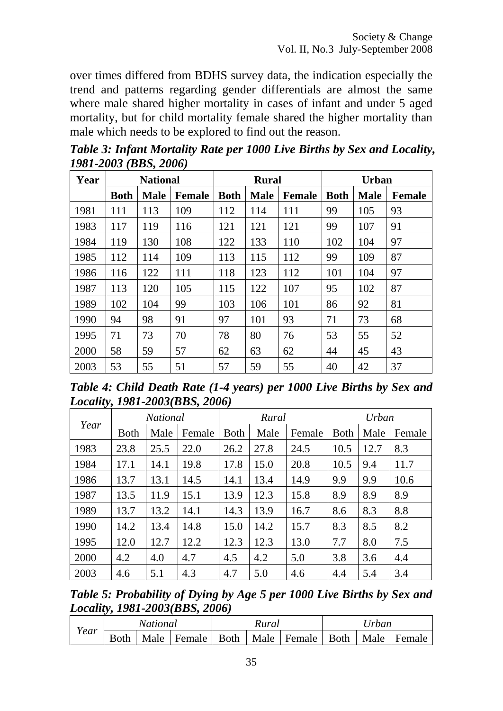over times differed from BDHS survey data, the indication especially the trend and patterns regarding gender differentials are almost the same where male shared higher mortality in cases of infant and under 5 aged mortality, but for child mortality female shared the higher mortality than male which needs to be explored to find out the reason.

| Year |             | <b>National</b> |               |             | <b>Rural</b> |               |             | <b>Urban</b> |               |
|------|-------------|-----------------|---------------|-------------|--------------|---------------|-------------|--------------|---------------|
|      | <b>Both</b> | <b>Male</b>     | <b>Female</b> | <b>Both</b> | <b>Male</b>  | <b>Female</b> | <b>Both</b> | <b>Male</b>  | <b>Female</b> |
| 1981 | 111         | 113             | 109           | 112         | 114          | 111           | 99          | 105          | 93            |
| 1983 | 117         | 119             | 116           | 121         | 121          | 121           | 99          | 107          | 91            |
| 1984 | 119         | 130             | 108           | 122         | 133          | 110           | 102         | 104          | 97            |
| 1985 | 112         | 114             | 109           | 113         | 115          | 112           | 99          | 109          | 87            |
| 1986 | 116         | 122             | 111           | 118         | 123          | 112           | 101         | 104          | 97            |
| 1987 | 113         | 120             | 105           | 115         | 122          | 107           | 95          | 102          | 87            |
| 1989 | 102         | 104             | 99            | 103         | 106          | 101           | 86          | 92           | 81            |
| 1990 | 94          | 98              | 91            | 97          | 101          | 93            | 71          | 73           | 68            |
| 1995 | 71          | 73              | 70            | 78          | 80           | 76            | 53          | 55           | 52            |
| 2000 | 58          | 59              | 57            | 62          | 63           | 62            | 44          | 45           | 43            |
| 2003 | 53          | 55              | 51            | 57          | 59           | 55            | 40          | 42           | 37            |

*Table 3: Infant Mortality Rate per 1000 Live Births by Sex and Locality, 1981-2003 (BBS, 2006)*

*Table 4: Child Death Rate (1-4 years) per 1000 Live Births by Sex and Locality, 1981-2003(BBS, 2006)*

|      |             | <b>National</b> |        |             | Rural |        | Urban       |      |        |  |
|------|-------------|-----------------|--------|-------------|-------|--------|-------------|------|--------|--|
| Year | <b>Both</b> | Male            | Female | <b>Both</b> | Male  | Female | <b>Both</b> | Male | Female |  |
| 1983 | 23.8        | 25.5            | 22.0   | 26.2        | 27.8  | 24.5   | 10.5        | 12.7 | 8.3    |  |
| 1984 | 17.1        | 14.1            | 19.8   | 17.8        | 15.0  | 20.8   | 10.5        | 9.4  | 11.7   |  |
| 1986 | 13.7        | 13.1            | 14.5   | 14.1        | 13.4  | 14.9   | 9.9         | 9.9  | 10.6   |  |
| 1987 | 13.5        | 11.9            | 15.1   | 13.9        | 12.3  | 15.8   | 8.9         | 8.9  | 8.9    |  |
| 1989 | 13.7        | 13.2            | 14.1   | 14.3        | 13.9  | 16.7   | 8.6         | 8.3  | 8.8    |  |
| 1990 | 14.2        | 13.4            | 14.8   | 15.0        | 14.2  | 15.7   | 8.3         | 8.5  | 8.2    |  |
| 1995 | 12.0        | 12.7            | 12.2   | 12.3        | 12.3  | 13.0   | 7.7         | 8.0  | 7.5    |  |
| 2000 | 4.2         | 4.0             | 4.7    | 4.5         | 4.2   | 5.0    | 3.8         | 3.6  | 4.4    |  |
| 2003 | 4.6         | 5.1             | 4.3    | 4.7         | 5.0   | 4.6    | 4.4         | 5.4  | 3.4    |  |

*Table 5: Probability of Dying by Age 5 per 1000 Live Births by Sex and Locality, 1981-2003(BBS, 2006)*

|      | National    |      |                      | Kural |               | Jrban |      |        |  |
|------|-------------|------|----------------------|-------|---------------|-------|------|--------|--|
| Year | <b>Both</b> | Male | Female   Both   Male |       | Female   Both |       | Male | Female |  |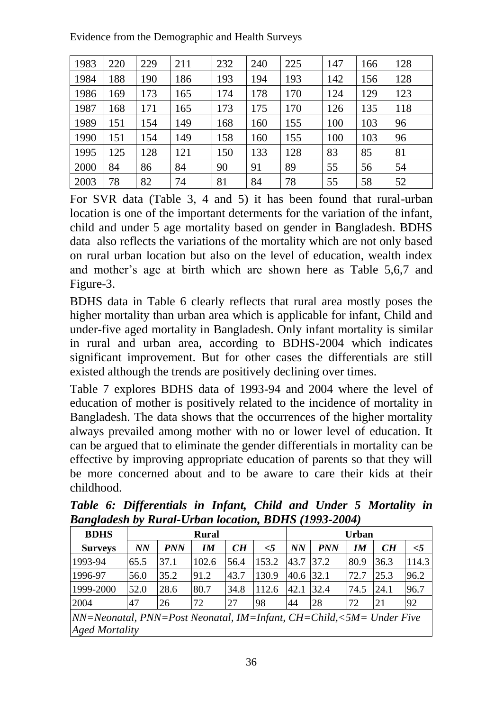Evidence from the Demographic and Health Surveys

| 1983 | 220 | 229 | 211 | 232 | 240 | 225 | 147 | 166 | 128 |
|------|-----|-----|-----|-----|-----|-----|-----|-----|-----|
| 1984 | 188 | 190 | 186 | 193 | 194 | 193 | 142 | 156 | 128 |
| 1986 | 169 | 173 | 165 | 174 | 178 | 170 | 124 | 129 | 123 |
| 1987 | 168 | 171 | 165 | 173 | 175 | 170 | 126 | 135 | 118 |
| 1989 | 151 | 154 | 149 | 168 | 160 | 155 | 100 | 103 | 96  |
| 1990 | 151 | 154 | 149 | 158 | 160 | 155 | 100 | 103 | 96  |
| 1995 | 125 | 128 | 121 | 150 | 133 | 128 | 83  | 85  | 81  |
| 2000 | 84  | 86  | 84  | 90  | 91  | 89  | 55  | 56  | 54  |
| 2003 | 78  | 82  | 74  | 81  | 84  | 78  | 55  | 58  | 52  |

For SVR data (Table 3, 4 and 5) it has been found that rural-urban location is one of the important determents for the variation of the infant, child and under 5 age mortality based on gender in Bangladesh. BDHS data also reflects the variations of the mortality which are not only based on rural urban location but also on the level of education, wealth index and mother's age at birth which are shown here as Table 5,6,7 and Figure-3.

BDHS data in Table 6 clearly reflects that rural area mostly poses the higher mortality than urban area which is applicable for infant, Child and under-five aged mortality in Bangladesh. Only infant mortality is similar in rural and urban area, according to BDHS-2004 which indicates significant improvement. But for other cases the differentials are still existed although the trends are positively declining over times.

Table 7 explores BDHS data of 1993-94 and 2004 where the level of education of mother is positively related to the incidence of mortality in Bangladesh. The data shows that the occurrences of the higher mortality always prevailed among mother with no or lower level of education. It can be argued that to eliminate the gender differentials in mortality can be effective by improving appropriate education of parents so that they will be more concerned about and to be aware to care their kids at their childhood.

| Dunguutsh of Kurut-Croun wealton, DD119 (1779-2007)                       |      |            |              |      |          |                   |            |      |      |          |  |
|---------------------------------------------------------------------------|------|------------|--------------|------|----------|-------------------|------------|------|------|----------|--|
| <b>BDHS</b>                                                               |      |            | <b>Rural</b> |      |          | <b>Urban</b>      |            |      |      |          |  |
| <b>Surveys</b>                                                            | NN   | <b>PNN</b> | IM           | CH   | $\leq 5$ | NN                | <b>PNN</b> | IM   | CH   | $\leq$ 5 |  |
| 1993-94                                                                   | 65.5 | 37.1       | 102.6        | 56.4 | 153.2    | <sup>1</sup> 43.7 | 137.2      | 80.9 | 36.3 | 114.3    |  |
| 1996-97                                                                   | 56.0 | 35.2       | 91.2         | 43.7 | 130.9    | 40.6              | 32.1       | 72.7 | 25.3 | 96.2     |  |
| 1999-2000                                                                 | 52.0 | 28.6       | 80.7         | 34.8 | 112.6    | 42.1              | 32.4       | 74.5 | 24.1 | 96.7     |  |
| 2004                                                                      | 47   | 26         | 72           | 27   | 98       | 44                | 28         | 72   | 21   | 92       |  |
| $ NN=Neonatal, PNN=Post Neonatal, IM=Infant, CH=Child, \leq M=Under Five$ |      |            |              |      |          |                   |            |      |      |          |  |
| <b>Aged Mortality</b>                                                     |      |            |              |      |          |                   |            |      |      |          |  |

*Table 6: Differentials in Infant, Child and Under 5 Mortality in Bangladesh by Rural-Urban location, BDHS (1993-2004)*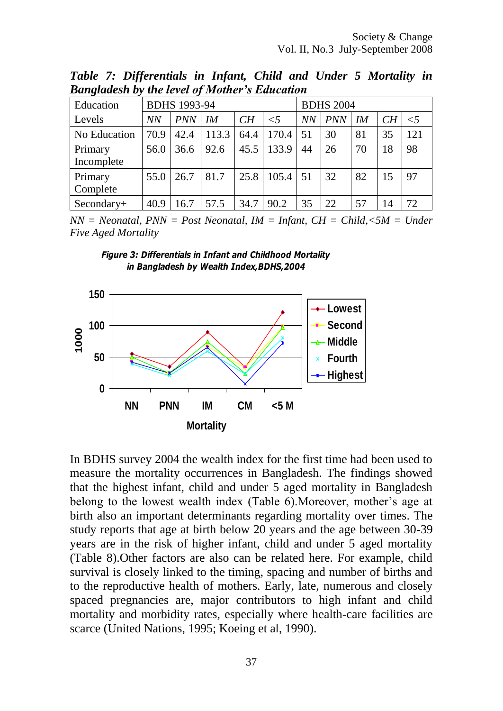| ີ<br>Education |      | <b>BDHS</b> 1993-94 |       |      | <b>BDHS 2004</b> |    |            |    |    |          |
|----------------|------|---------------------|-------|------|------------------|----|------------|----|----|----------|
| Levels         | NN   | <b>PNN</b>          | IM    | CH   | $\leq$ 5         | NN | <b>PNN</b> | IM | CH | $\leq$ 5 |
| No Education   | 70.9 | 42.4                | 113.3 | 64.4 | 170.4            | 51 | 30         | 81 | 35 | 121      |
| Primary        | 56.0 | 36.6                | 92.6  | 45.5 | 133.9            | 44 | 26         | 70 | 18 | 98       |
| Incomplete     |      |                     |       |      |                  |    |            |    |    |          |
| Primary        | 55.0 | 26.7                | 81.7  | 25.8 | 105.4            | 51 | 32         | 82 | 15 | 97       |
| Complete       |      |                     |       |      |                  |    |            |    |    |          |
| Secondary+     | 40.9 | 16.7                | 57.5  | 34.7 | 90.2             | 35 | 22         | 57 | 14 | 72       |

*Table 7: Differentials in Infant, Child and Under 5 Mortality in Bangladesh by the level of Mother's Education*

*NN = Neonatal, PNN = Post Neonatal, IM = Infant, CH = Child,<5M = Under Five Aged Mortality*

*Figure 3: Differentials in Infant and Childhood Mortality in Bangladesh by Wealth Index,BDHS,2004*



In BDHS survey 2004 the wealth index for the first time had been used to measure the mortality occurrences in Bangladesh. The findings showed that the highest infant, child and under 5 aged mortality in Bangladesh belong to the lowest wealth index (Table 6).Moreover, mother's age at birth also an important determinants regarding mortality over times. The study reports that age at birth below 20 years and the age between 30-39 years are in the risk of higher infant, child and under 5 aged mortality (Table 8).Other factors are also can be related here. For example, child survival is closely linked to the timing, spacing and number of births and to the reproductive health of mothers. Early, late, numerous and closely spaced pregnancies are, major contributors to high infant and child mortality and morbidity rates, especially where health-care facilities are scarce (United Nations, 1995; Koeing et al, 1990).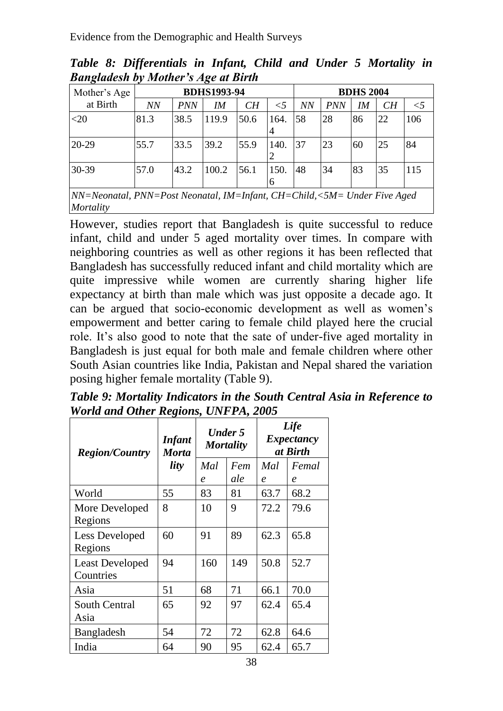| Mother's Age                                                                          | <b>BDHS1993-94</b> |            |        |      |           |           | <b>BDHS 2004</b> |    |    |       |  |
|---------------------------------------------------------------------------------------|--------------------|------------|--------|------|-----------|-----------|------------------|----|----|-------|--|
| at Birth                                                                              | <b>NN</b>          | <b>PNN</b> | $I\!M$ | CH   | $\leq$ 5  | <b>NN</b> | <i>PNN</i>       | IM | CH | $<$ 5 |  |
| $<$ 20                                                                                | 81.3               | 38.5       | 119.9  | 50.6 | 164.<br>4 | 58        | 28               | 86 | 22 | 106   |  |
| $20 - 29$                                                                             | 55.7               | 33.5       | 39.2   | 55.9 | 140.      | 37        | 23               | 60 | 25 | 84    |  |
| 30-39                                                                                 | 57.0               | 43.2       | 100.2  | 56.1 | 150.<br>h | 48        | 34               | 83 | 35 | 115   |  |
| NN=Neonatal, PNN=Post Neonatal, IM=Infant, CH=Child,<5M= Under Five Aged<br>Mortality |                    |            |        |      |           |           |                  |    |    |       |  |

*Table 8: Differentials in Infant, Child and Under 5 Mortality in Bangladesh by Mother's Age at Birth*

However, studies report that Bangladesh is quite successful to reduce infant, child and under 5 aged mortality over times. In compare with neighboring countries as well as other regions it has been reflected that Bangladesh has successfully reduced infant and child mortality which are quite impressive while women are currently sharing higher life expectancy at birth than male which was just opposite a decade ago. It can be argued that socio-economic development as well as women's empowerment and better caring to female child played here the crucial role. It's also good to note that the sate of under-five aged mortality in Bangladesh is just equal for both male and female children where other South Asian countries like India, Pakistan and Nepal shared the variation posing higher female mortality (Table 9).

*Table 9: Mortality Indicators in the South Central Asia in Reference to World and Other Regions, UNFPA, 2005*

| <b>Region/Country</b>               | <b>Infant</b><br><b>Morta</b> |                     | <b>Under 5</b><br><b>Mortality</b> | Life<br>Expectancy<br>at Birth |                  |  |
|-------------------------------------|-------------------------------|---------------------|------------------------------------|--------------------------------|------------------|--|
|                                     | lity                          | Mal                 | Fem                                | Mal                            | Femal            |  |
|                                     |                               | $\boldsymbol{\rho}$ | ale                                | $\boldsymbol{\rho}$            | $\boldsymbol{e}$ |  |
| World                               | 55                            | 83                  | 81                                 | 63.7                           | 68.2             |  |
| More Developed<br>Regions           | 8                             | 10                  | 9                                  | 72.2                           | 79.6             |  |
| Less Developed<br>Regions           | 60                            | 91                  | 89                                 | 62.3                           | 65.8             |  |
| <b>Least Developed</b><br>Countries | 94                            | 160                 | 149                                | 50.8                           | 52.7             |  |
| Asia                                | 51                            | 68                  | 71                                 | 66.1                           | 70.0             |  |
| South Central<br>Asia               | 65                            | 92                  | 97                                 | 62.4                           | 65.4             |  |
| Bangladesh                          | 54                            | 72                  | 72                                 | 62.8                           | 64.6             |  |
| India                               | 64                            | 90                  | 95                                 | 62.4                           | 65.7             |  |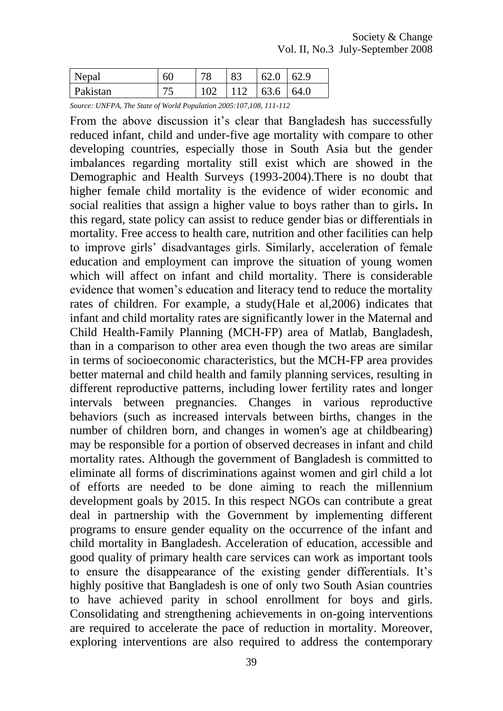| Nepal           | หเ | חו<br>΄ Ο | $Q^{\prime}$ | 62   | 62.9 |
|-----------------|----|-----------|--------------|------|------|
| <b>Pakistan</b> |    |           |              | 63.6 | 64.0 |

*Source: UNFPA, The State of World Population 2005:107,108, 111-112*

From the above discussion it's clear that Bangladesh has successfully reduced infant, child and under-five age mortality with compare to other developing countries, especially those in South Asia but the gender imbalances regarding mortality still exist which are showed in the Demographic and Health Surveys (1993-2004).There is no doubt that higher female child mortality is the evidence of wider economic and social realities that assign a higher value to boys rather than to girls**.** In this regard, state policy can assist to reduce gender bias or differentials in mortality. Free access to health care, nutrition and other facilities can help to improve girls' disadvantages girls. Similarly, acceleration of female education and employment can improve the situation of young women which will affect on infant and child mortality. There is considerable evidence that women's education and literacy tend to reduce the mortality rates of children. For example, a study(Hale et al,2006) indicates that infant and child mortality rates are significantly lower in the Maternal and Child Health-Family Planning (MCH-FP) area of Matlab, Bangladesh, than in a comparison to other area even though the two areas are similar in terms of socioeconomic characteristics, but the MCH-FP area provides better maternal and child health and family planning services, resulting in different reproductive patterns, including lower fertility rates and longer intervals between pregnancies. Changes in various reproductive behaviors (such as increased intervals between births, changes in the number of children born, and changes in women's age at childbearing) may be responsible for a portion of observed decreases in infant and child mortality rates. Although the government of Bangladesh is committed to eliminate all forms of discriminations against women and girl child a lot of efforts are needed to be done aiming to reach the millennium development goals by 2015. In this respect NGOs can contribute a great deal in partnership with the Government by implementing different programs to ensure gender equality on the occurrence of the infant and child mortality in Bangladesh. Acceleration of education, accessible and good quality of primary health care services can work as important tools to ensure the disappearance of the existing gender differentials. It's highly positive that Bangladesh is one of only two South Asian countries to have achieved parity in school enrollment for boys and girls. Consolidating and strengthening achievements in on-going interventions are required to accelerate the pace of reduction in mortality. Moreover, exploring interventions are also required to address the contemporary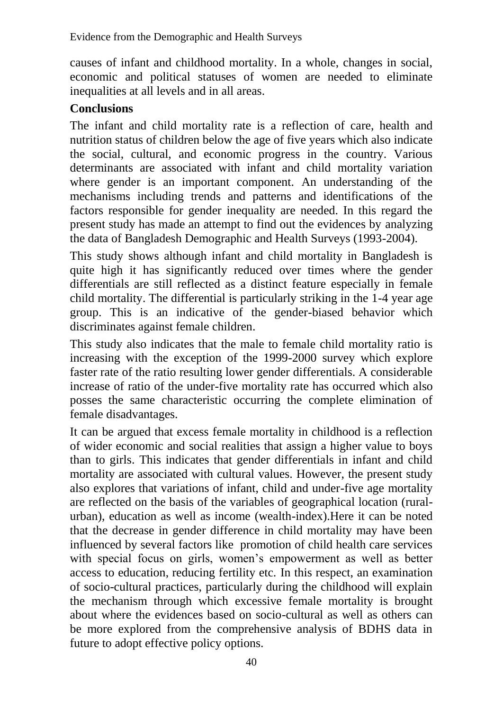Evidence from the Demographic and Health Surveys

causes of infant and childhood mortality. In a whole, changes in social, economic and political statuses of women are needed to eliminate inequalities at all levels and in all areas.

### **Conclusions**

The infant and child mortality rate is a reflection of care, health and nutrition status of children below the age of five years which also indicate the social, cultural, and economic progress in the country. Various determinants are associated with infant and child mortality variation where gender is an important component. An understanding of the mechanisms including trends and patterns and identifications of the factors responsible for gender inequality are needed. In this regard the present study has made an attempt to find out the evidences by analyzing the data of Bangladesh Demographic and Health Surveys (1993-2004).

This study shows although infant and child mortality in Bangladesh is quite high it has significantly reduced over times where the gender differentials are still reflected as a distinct feature especially in female child mortality. The differential is particularly striking in the 1-4 year age group. This is an indicative of the gender-biased behavior which discriminates against female children.

This study also indicates that the male to female child mortality ratio is increasing with the exception of the 1999-2000 survey which explore faster rate of the ratio resulting lower gender differentials. A considerable increase of ratio of the under-five mortality rate has occurred which also posses the same characteristic occurring the complete elimination of female disadvantages.

It can be argued that excess female mortality in childhood is a reflection of wider economic and social realities that assign a higher value to boys than to girls. This indicates that gender differentials in infant and child mortality are associated with cultural values. However, the present study also explores that variations of infant, child and under-five age mortality are reflected on the basis of the variables of geographical location (ruralurban), education as well as income (wealth-index).Here it can be noted that the decrease in gender difference in child mortality may have been influenced by several factors like promotion of child health care services with special focus on girls, women's empowerment as well as better access to education, reducing fertility etc. In this respect, an examination of socio-cultural practices, particularly during the childhood will explain the mechanism through which excessive female mortality is brought about where the evidences based on socio-cultural as well as others can be more explored from the comprehensive analysis of BDHS data in future to adopt effective policy options.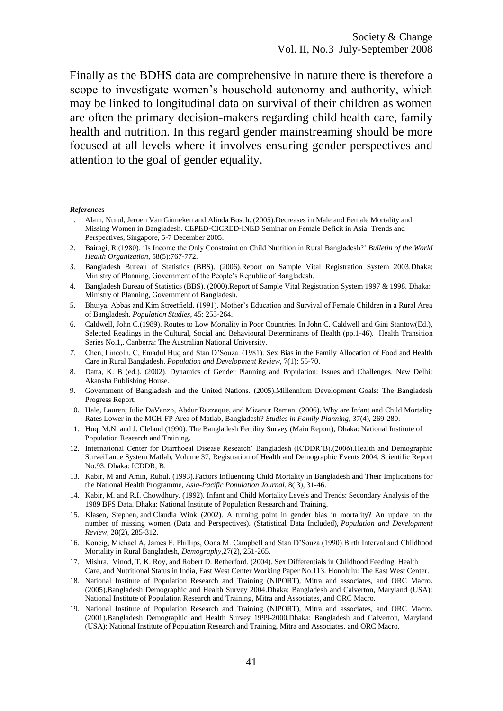Finally as the BDHS data are comprehensive in nature there is therefore a scope to investigate women's household autonomy and authority, which may be linked to longitudinal data on survival of their children as women are often the primary decision-makers regarding child health care, family health and nutrition. In this regard gender mainstreaming should be more focused at all levels where it involves ensuring gender perspectives and attention to the goal of gender equality.

#### *Reference***s**

- 1. Alam, Nurul, Jeroen Van Ginneken and Alinda Bosch. (2005).Decreases in Male and Female Mortality and Missing Women in Bangladesh. CEPED-CICRED-INED Seminar on Female Deficit in Asia: Trends and Perspectives, Singapore, 5-7 December 2005.
- 2. Bairagi, R.(1980). 'Is Income the Only Constraint on Child Nutrition in Rural Bangladesh?' *Bulletin of the World Health Organization*, 58(5):767-772.
- *3.* Bangladesh Bureau of Statistics (BBS). (2006).Report on Sample Vital Registration System 2003*.*Dhaka: Ministry of Planning, Government of the People's Republic of Bangladesh.
- 4. Bangladesh Bureau of Statistics (BBS). (2000).Report of Sample Vital Registration System 1997 & 1998. Dhaka: Ministry of Planning, Government of Bangladesh.
- 5. Bhuiya, Abbas and Kim Streetfield. (1991). Mother's Education and Survival of Female Children in a Rural Area of Bangladesh. *Population Studies*, 45: 253-264.
- 6. Caldwell, John C.(1989). Routes to Low Mortality in Poor Countries. In John C. Caldwell and Gini Stantow(Ed.), Selected Readings in the Cultural, Social and Behavioural Determinants of Health (pp.1-46). Health Transition Series No.1,. Canberra: The Australian National University.
- *7.* Chen, Lincoln, C, Emadul Huq and Stan D'Souza. (1981). Sex Bias in the Family Allocation of Food and Health Care in Rural Bangladesh. *Population and Development Review*, 7(1): 55-70.
- 8. Datta, K. B (ed.). (2002). Dynamics of Gender Planning and Population: Issues and Challenges. New Delhi: Akansha Publishing House.
- 9. Government of Bangladesh and the United Nations. (2005).Millennium Development Goals: The Bangladesh Progress Report.
- 10. Hale, Lauren, Julie DaVanzo, Abdur Razzaque, and Mizanur Raman. (2006). Why are Infant and Child Mortality Rates Lower in the MCH-FP Area of Matlab, Bangladesh? *Studies in Family Planning*, 37(4), 269-280.
- 11. Huq, M.N. and J. Cleland (1990). The Bangladesh Fertility Survey (Main Report), Dhaka: National Institute of Population Research and Training.
- 12. International Center for Diarrhoeal Disease Research' Bangladesh (ICDDR'B).(2006).Health and Demographic Surveillance System Matlab, Volume 37, Registration of Health and Demographic Events 2004, Scientific Report No.93. Dhaka: ICDDR, B.
- 13. Kabir, M and Amin, Ruhul. (1993).Factors Influencing Child Mortality in Bangladesh and Their Implications for the National Health Programme, *Asia-Pacific Population Journal*, 8( 3), 31-46.
- 14. Kabir, M. and R.I. Chowdhury. (1992). Infant and Child Mortality Levels and Trends: Secondary Analysis of the 1989 BFS Data. Dhaka: National Institute of Population Research and Training.
- 15. Klasen, Stephen, and Claudia Wink. (2002). A turning point in gender bias in mortality? An update on the number of missing women (Data and Perspectives). (Statistical Data Included), *Population and Development Review,* 28(2), 285-312.
- 16. Koneig, Michael A, James F. Phillips, Oona M. Campbell and Stan D'Souza.(1990).Birth Interval and Childhood Mortality in Rural Bangladesh, *Demography*,27(2), 251-265.
- 17. Mishra, Vinod, T. K. Roy, and Robert D. Retherford. (2004). Sex Differentials in Childhood Feeding, Health Care, and Nutritional Status in India, East West Center Working Paper No.113. Honolulu: The East West Center.
- 18. National Institute of Population Research and Training (NIPORT), Mitra and associates, and ORC Macro. (2005).Bangladesh Demographic and Health Survey 2004.Dhaka: Bangladesh and Calverton, Maryland (USA): National Institute of Population Research and Training, Mitra and Associates, and ORC Macro.
- 19. National Institute of Population Research and Training (NIPORT), Mitra and associates, and ORC Macro. (2001).Bangladesh Demographic and Health Survey 1999-2000.Dhaka: Bangladesh and Calverton, Maryland (USA): National Institute of Population Research and Training, Mitra and Associates, and ORC Macro.